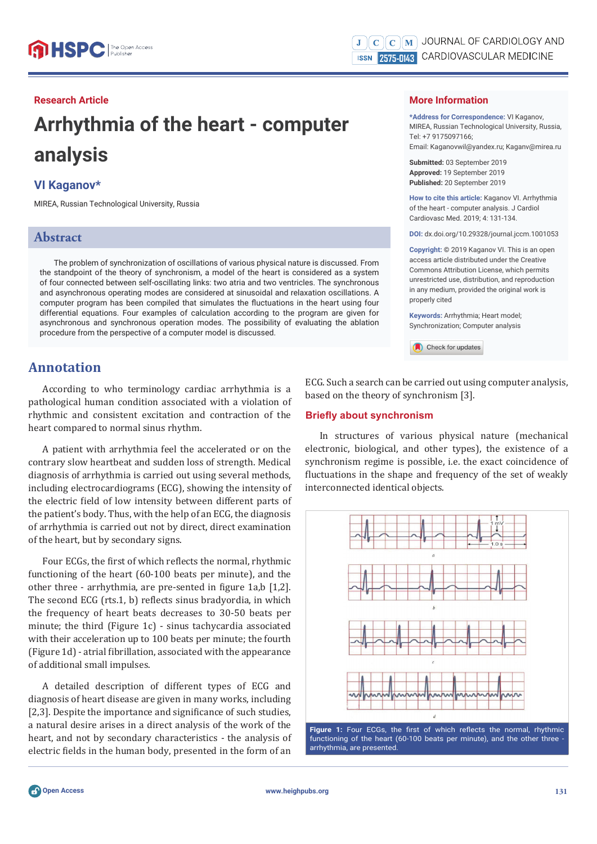#### **Research Article**

# **Arrhythmia of the heart - computer analysis**

#### **VI Kaganov\***

MIREA, Russian Technological University, Russia

## **Abstract**

The problem of synchronization of oscillations of various physical nature is discussed. From the standpoint of the theory of synchronism, a model of the heart is considered as a system of four connected between self-oscillating links: two atria and two ventricles. The synchronous and asynchronous operating modes are considered at sinusoidal and relaxation oscillations. A computer program has been compiled that simulates the fluctuations in the heart using four differential equations. Four examples of calculation according to the program are given for asynchronous and synchronous operation modes. The possibility of evaluating the ablation procedure from the perspective of a computer model is discussed.

## **Annotation**

According to who terminology cardiac arrhythmia is a pathological human condition associated with a violation of rhythmic and consistent excitation and contraction of the heart compared to normal sinus rhythm.

A patient with arrhythmia feel the accelerated or on the contrary slow heartbeat and sudden loss of strength. Medical diagnosis of arrhythmia is carried out using several methods, including electrocardiograms (ECG), showing the intensity of the electric field of low intensity between different parts of the patient's body. Thus, with the help of an ECG, the diagnosis of arrhythmia is carried out not by direct, direct examination of the heart, but by secondary signs.

Four ECGs, the first of which reflects the normal, rhythmic functioning of the heart (60-100 beats per minute), and the other three - arrhythmia, are pre-sented in figure 1a,b [1,2]. The second ECG (rts.1, b) reflects sinus bradyordia, in which the frequency of heart beats decreases to 30-50 beats per minute; the third (Figure 1c) - sinus tachycardia associated with their acceleration up to 100 beats per minute; the fourth (Figure 1d) - atrial fibrillation, associated with the appearance of additional small impulses.

A detailed description of different types of ECG and diagnosis of heart disease are given in many works, including [2,3]. Despite the importance and significance of such studies, a natural desire arises in a direct analysis of the work of the heart, and not by secondary characteristics - the analysis of electric fields in the human body, presented in the form of an

#### **More Information**

**\*Address for Correspondence:** VI Kaganov, MIREA, Russian Technological University, Russia, Tel: +7 9175097166; Email: Kaganovwil@yandex.ru; Kaganv@mirea.ru

**Submitted:** 03 September 2019 **Approved:** 19 September 2019 **Published:** 20 September 2019

**How to cite this article:** Kaganov VI. Arrhythmia of the heart - computer analysis. J Cardiol Cardiovasc Med. 2019; 4: 131-134.

**DOI:** dx.doi.org/10.29328/journal.jccm.1001053

**Copyright: ©** 2019 Kaganov VI. This is an open access article distributed under the Creative Commons Attribution License, which permits unrestricted use, distribution, and reproduction in any medium, provided the original work is properly cited

**Keywords:** Arrhythmia; Heart model; Synchronization; Computer analysis

Check for updates

ECG. Such a search can be carried out using computer analysis, based on the theory of synchronism [3].

#### **Briefly about synchronism**

In structures of various physical nature (mechanical electronic, biological, and other types), the existence of a synchronism regime is possible, i.e. the exact coincidence of fluctuations in the shape and frequency of the set of weakly interconnected identical objects.



functioning of the heart (60-100 beats per minute), and the other three arrhythmia, are presented.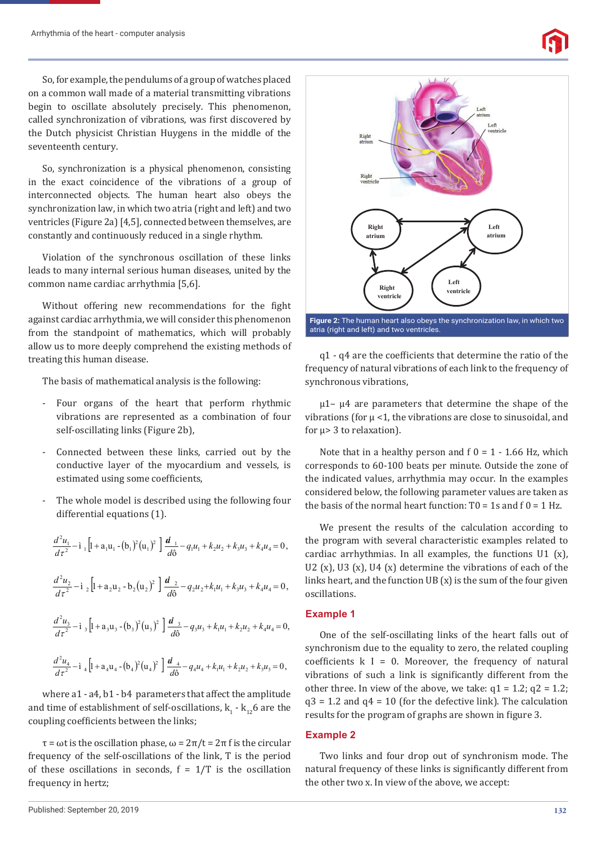

So, for example, the pendulums of a group of watches placed on a common wall made of a material transmitting vibrations begin to oscillate absolutely precisely. This phenomenon, called synchronization of vibrations, was first discovered by the Dutch physicist Christian Huygens in the middle of the seventeenth century.

So, synchronization is a physical phenomenon, consisting in the exact coincidence of the vibrations of a group of interconnected objects. The human heart also obeys the synchronization law, in which two atria (right and left) and two ventricles (Figure 2a) [4,5], connected between themselves, are constantly and continuously reduced in a single rhythm.

Violation of the synchronous oscillation of these links leads to many internal serious human diseases, united by the common name cardiac arrhythmia [5,6].

Without offering new recommendations for the fight against cardiac arrhythmia, we will consider this phenomenon from the standpoint of mathematics, which will probably allow us to more deeply comprehend the existing methods of treating this human disease.

The basis of mathematical analysis is the following:

- Four organs of the heart that perform rhythmic vibrations are represented as a combination of four self-oscillating links (Figure 2b),
- Connected between these links, carried out by the conductive layer of the myocardium and vessels, is estimated using some coefficients.
- The whole model is described using the following four differential equations (1).

$$
\frac{d^2 u_1}{d\tau^2} - \mathbf{i}_1 \left[ 1 + a_1 u_1 - (b_1)^2 (u_1)^2 \right] \frac{d_1}{d\theta} - q_1 u_1 + k_2 u_2 + k_3 u_3 + k_4 u_4 = 0,
$$
  

$$
\frac{d^2 u_2}{d\tau^2} - \mathbf{i}_2 \left[ 1 + a_2 u_2 - b_2 (u_2)^2 \right] \frac{d_2}{d\theta} - q_2 u_2 + k_1 u_1 + k_3 u_3 + k_4 u_4 = 0,
$$
  

$$
\frac{d^2 u_3}{d\tau^2} - \mathbf{i}_3 \left[ 1 + a_3 u_3 - (b_3)^2 (u_3)^2 \right] \frac{d_3}{d\theta} - q_3 u_3 + k_1 u_1 + k_2 u_2 + k_4 u_4 = 0,
$$
  

$$
\frac{d^2 u_4}{d\tau^2} - \mathbf{i}_4 \left[ 1 + a_4 u_4 - (b_4)^2 (u_4)^2 \right] \frac{d_4}{d\theta} - q_4 u_4 + k_1 u_1 + k_2 u_2 + k_3 u_3 = 0,
$$

where a1 - a4, b1 - b4 parameters that affect the amplitude and time of establishment of self-oscillations,  $\mathbf{k}_{\scriptscriptstyle{1}}$  -  $\mathbf{k}_{\scriptscriptstyle{12}}$  are the coupling coefficients between the links;

τ = ωt is the oscillation phase, ω = 2π/t = 2π f is the circular frequency of the self-oscillations of the link, T is the period of these oscillations in seconds,  $f = 1/T$  is the oscillation frequency in hertz;



q1 - q4 are the coefficients that determine the ratio of the frequency of natural vibrations of each link to the frequency of synchronous vibrations,

 $μ1-μ4$  are parameters that determine the shape of the vibrations (for  $\mu$  <1, the vibrations are close to sinusoidal, and for μ> 3 to relaxation).

Note that in a healthy person and  $f = 1 - 1.66$  Hz, which corresponds to 60-100 beats per minute. Outside the zone of the indicated values, arrhythmia may occur. In the examples considered below, the following parameter values are taken as the basis of the normal heart function:  $T0 = 1s$  and  $f = 1 Hz$ .

We present the results of the calculation according to the program with several characteristic examples related to cardiac arrhythmias. In all examples, the functions  $U1(x)$ , U2 (x), U3 (x), U4 (x) determine the vibrations of each of the links heart, and the function UВ (x) is the sum of the four given oscillations.

#### **Example 1**

One of the self-oscillating links of the heart falls out of synchronism due to the equality to zero, the related coupling coefficients  $k = 0$ . Moreover, the frequency of natural vibrations of such a link is significantly different from the other three. In view of the above, we take:  $q1 = 1.2$ ;  $q2 = 1.2$ ;  $q3 = 1.2$  and  $q4 = 10$  (for the defective link). The calculation results for the program of graphs are shown in figure 3.

#### **Example 2**

Two links and four drop out of synchronism mode. The natural frequency of these links is significantly different from the other two x. In view of the above, we accept: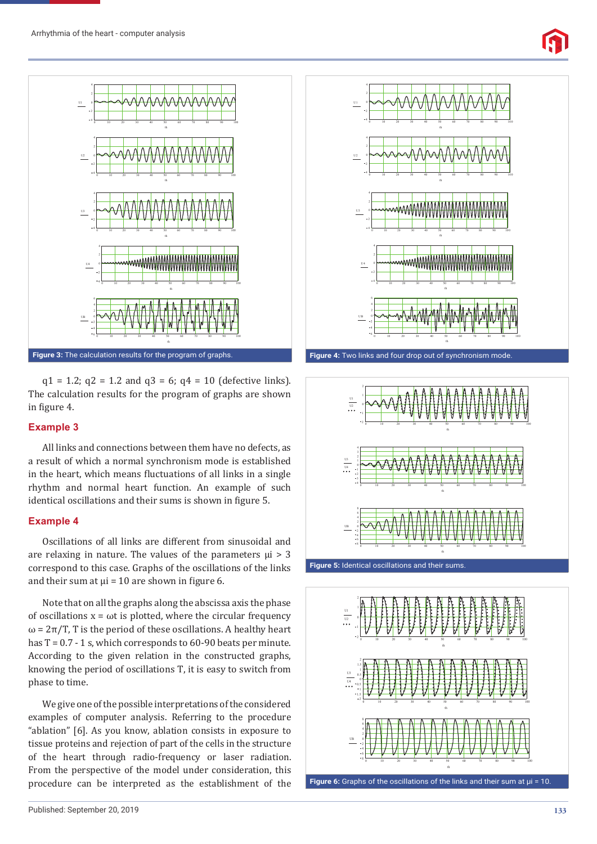



 $q1 = 1.2$ ;  $q2 = 1.2$  and  $q3 = 6$ ;  $q4 = 10$  (defective links). The calculation results for the program of graphs are shown in figure 4.

#### **Example 3**

All links and connections between them have no defects, as a result of which a normal synchronism mode is established in the heart, which means fluctuations of all links in a single rhythm and normal heart function. An example of such identical oscillations and their sums is shown in figure 5.

#### **Example 4**

Oscillations of all links are different from sinusoidal and are relaxing in nature. The values of the parameters  $\mu$ i > 3 correspond to this case. Graphs of the oscillations of the links and their sum at  $\mu$ i = 10 are shown in figure 6.

Note that on all the graphs along the abscissa axis the phase of oscillations  $x = \omega t$  is plotted, where the circular frequency  $\omega = 2\pi/T$ , T is the period of these oscillations. A healthy heart has  $T = 0.7 - 1$  s, which corresponds to 60-90 beats per minute. According to the given relation in the constructed graphs, knowing the period of oscillations T, it is easy to switch from phase to time.

We give one of the possible interpretations of the considered examples of computer analysis. Referring to the procedure "ablation" [6]. As you know, ablation consists in exposure to tissue proteins and rejection of part of the cells in the structure of the heart through radio-frequency or laser radiation. From the perspective of the model under consideration, this procedure can be interpreted as the establishment of the